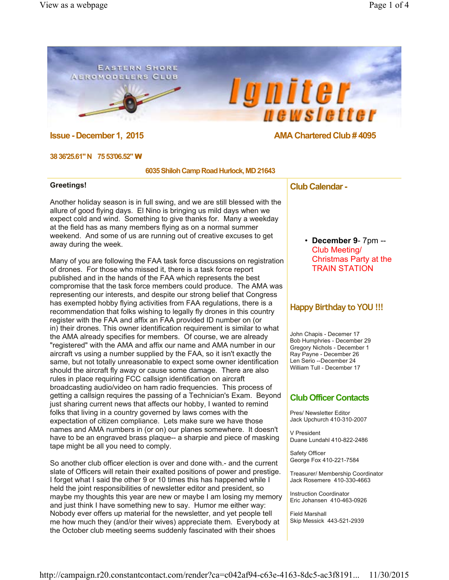#### **EASTERN SHORE AEROMODELERS CLUB**

 $\bullet$ 

### **Issue - December 1, 2015 AMA Chartered Club # 4095**

newsletter

*lgniter* 

#### **38 36'25.61" N 75 53'06.52"** W

#### **6035 Shiloh Camp Road Hurlock, MD 21643**

#### **Greetings!**

Another holiday season is in full swing, and we are still blessed with the allure of good flying days. El Nino is bringing us mild days when we expect cold and wind. Something to give thanks for. Many a weekday at the field has as many members flying as on a normal summer weekend. And some of us are running out of creative excuses to get away during the week.

Many of you are following the FAA task force discussions on registration of drones. For those who missed it, there is a task force report published and in the hands of the FAA which represents the best compromise that the task force members could produce. The AMA was representing our interests, and despite our strong belief that Congress has exempted hobby flying activities from FAA regulations, there is a recommendation that folks wishing to legally fly drones in this country register with the FAA and affix an FAA provided ID number on (or in) their drones. This owner identification requirement is similar to what the AMA already specifies for members. Of course, we are already "registered" with the AMA and affix our name and AMA number in our aircraft vs using a number supplied by the FAA, so it isn't exactly the same, but not totally unreasonable to expect some owner identification should the aircraft fly away or cause some damage. There are also rules in place requiring FCC callsign identification on aircraft broadcasting audio/video on ham radio frequencies. This process of getting a callsign requires the passing of a Technician's Exam. Beyond just sharing current news that affects our hobby, I wanted to remind folks that living in a country governed by laws comes with the expectation of citizen compliance. Lets make sure we have those names and AMA numbers in (or on) our planes somewhere. It doesn't have to be an engraved brass plaque-- a sharpie and piece of masking tape might be all you need to comply.

So another club officer election is over and done with.- and the current slate of Officers will retain their exalted positions of power and prestige. I forget what I said the other 9 or 10 times this has happened while I held the joint responsibilities of newsletter editor and president, so maybe my thoughts this year are new or maybe I am losing my memory and just think I have something new to say. Humor me either way: Nobody ever offers up material for the newsletter, and yet people tell me how much they (and/or their wives) appreciate them. Everybody at the October club meeting seems suddenly fascinated with their shoes

#### **Club Calendar -**

• **December 9**- 7pm -- Club Meeting/ Christmas Party at the TRAIN STATION

#### **Happy Birthday to YOU !!!**

John Chapis - Decemer 17 Bob Humphries - December 29 Gregory Nichols - December 1 Ray Payne - December 26 Len Serio --December 24 William Tull - December 17

#### **Club Officer Contacts**

Pres/ Newsletter Editor Jack Upchurch 410-310-2007

V President Duane Lundahl 410-822-2486

Safety Officer George Fox 410-221-7584

Treasurer/ Membership Coordinator Jack Rosemere 410-330-4663

Instruction Coordinator Eric Johansen 410-463-0926

Field Marshall Skip Messick 443-521-2939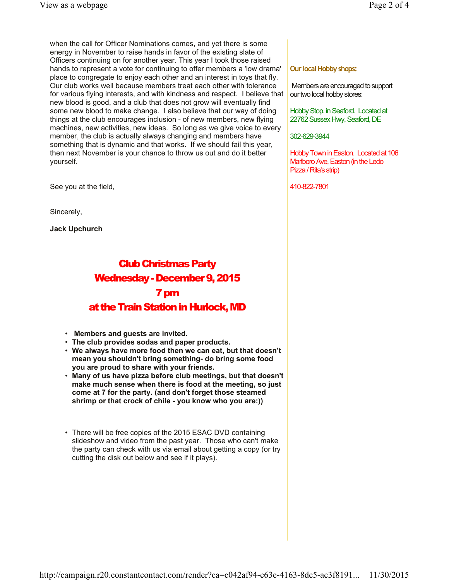when the call for Officer Nominations comes, and yet there is some energy in November to raise hands in favor of the existing slate of Officers continuing on for another year. This year I took those raised hands to represent a vote for continuing to offer members a 'low drama' place to congregate to enjoy each other and an interest in toys that fly. Our club works well because members treat each other with tolerance for various flying interests, and with kindness and respect. I believe that new blood is good, and a club that does not grow will eventually find some new blood to make change. I also believe that our way of doing things at the club encourages inclusion - of new members, new flying machines, new activities, new ideas. So long as we give voice to every member, the club is actually always changing and members have something that is dynamic and that works. If we should fail this year, then next November is your chance to throw us out and do it better yourself.

See you at the field,

Sincerely,

**Jack Upchurch**

# Club Christmas Party Wednesday - December 9, 2015 7 pm at the Train Station in Hurlock, MD

- • **Members and guests are invited.**
- **The club provides sodas and paper products.**
- **We always have more food then we can eat, but that doesn't mean you shouldn't bring something- do bring some food you are proud to share with your friends.**
- **Many of us have pizza before club meetings, but that doesn't make much sense when there is food at the meeting, so just come at 7 for the party. (and don't forget those steamed shrimp or that crock of chile - you know who you are:))**
- There will be free copies of the 2015 ESAC DVD containing slideshow and video from the past year. Those who can't make the party can check with us via email about getting a copy (or try cutting the disk out below and see if it plays).

#### **Our local Hobby shops:**

Members are encouraged to support our two local hobby stores:

Hobby Stop. in Seaford. Located at 22762 Sussex Hwy, Seaford, DE

302-629-3944

Hobby Town in Easton. Located at 106 Marlboro Ave, Easton (in the Ledo Pizza / Rita's strip)

410-822-7801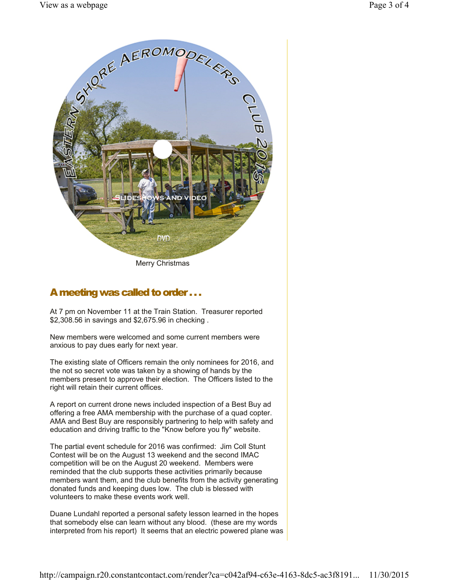

Merry Christmas

# A meeting was called to order . . .

At 7 pm on November 11 at the Train Station. Treasurer reported \$2,308.56 in savings and \$2,675.96 in checking .

New members were welcomed and some current members were anxious to pay dues early for next year.

The existing slate of Officers remain the only nominees for 2016, and the not so secret vote was taken by a showing of hands by the members present to approve their election. The Officers listed to the right will retain their current offices.

A report on current drone news included inspection of a Best Buy ad offering a free AMA membership with the purchase of a quad copter. AMA and Best Buy are responsibly partnering to help with safety and education and driving traffic to the "Know before you fly" website.

The partial event schedule for 2016 was confirmed: Jim Coll Stunt Contest will be on the August 13 weekend and the second IMAC competition will be on the August 20 weekend. Members were reminded that the club supports these activities primarily because members want them, and the club benefits from the activity generating donated funds and keeping dues low. The club is blessed with volunteers to make these events work well.

Duane Lundahl reported a personal safety lesson learned in the hopes that somebody else can learn without any blood. (these are my words interpreted from his report) It seems that an electric powered plane was